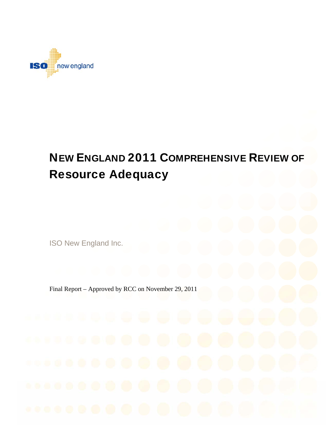

# NEW ENGLAND 2011 COMPREHENSIVE REVIEW OF Resource Adequacy

ISO New England Inc.

Final Report – Approved by RCC on November 29, 2011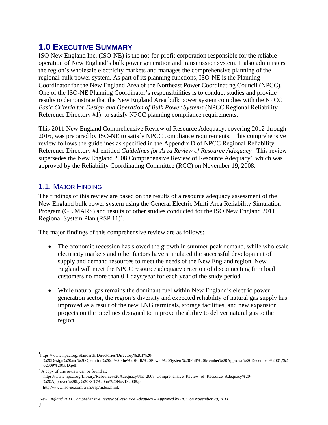### **1.0 EXECUTIVE SUMMARY**

ISO New England Inc. (ISO-NE) is the not-for-profit corporation responsible for the reliable operation of New England's bulk power generation and transmission system. It also administers the region's wholesale electricity markets and manages the comprehensive planning of the regional bulk power system. As part of its planning functions, ISO-NE is the Planning Coordinator for the New England Area of the Northeast Power Coordinating Council (NPCC). One of the ISO-NE Planning Coordinator's responsibilities is to conduct studies and provide results to demonstrate that the New England Area bulk power system complies with the NPCC *Basic Criteria for Design and Operation of Bulk Power Systems* (NPCC Regional Reliability Reference Directory  $#1$ <sup>1</sup> to satisfy NPCC planning compliance requirements.

This 2011 New England Comprehensive Review of Resource Adequacy, covering 2012 through 2016, was prepared by ISO-NE to satisfy NPCC compliance requirements. This comprehensive review follows the guidelines as specified in the Appendix D of NPCC Regional Reliability Reference Directory #1 entitled *Guidelines for Area Review of Resource Adequacy* . This review supersedes the New England 2008 Comprehensive Review of Resource Adequacy<sup>2</sup>, which was approved by the Reliability Coordinating Committee (RCC) on November 19, 2008.

### 1.1. MAJOR FINDING

The findings of this review are based on the results of a resource adequacy assessment of the New England bulk power system using the General Electric Multi Area Reliability Simulation Program (GE MARS) and results of other studies conducted for the ISO New England 2011 Regional System Plan (RSP 11)<sup>3</sup>.

The major findings of this comprehensive review are as follows:

- The economic recession has slowed the growth in summer peak demand, while wholesale electricity markets and other factors have stimulated the successful development of supply and demand resources to meet the needs of the New England region. New England will meet the NPCC resource adequacy criterion of disconnecting firm load customers no more than 0.1 days/year for each year of the study period.
- While natural gas remains the dominant fuel within New England's electric power generation sector, the region's diversity and expected reliability of natural gas supply has improved as a result of the new LNG terminals, storage facilities, and new expansion projects on the pipelines designed to improve the ability to deliver natural gas to the region.

<sup>1</sup> https://www.npcc.org/Standards/Directories/Directory%201%20-

<sup>%20</sup>Design%20and%20Operation%20of%20the%20Bulk%20Power%20System%20Full%20Member%20Approval%20December%2001,%200009%20GUD.pdf 02009%20GJD.pdf<br> $^{2}$  A copy of this review can be found at:

https://www.npcc.org/Library/Resource%20Adequacy/NE\_2008\_Comprehensive\_Review\_of\_Resource\_Adequacy%20-

<sup>3</sup> http://www.iso-ne.com/trans/rsp/index.html.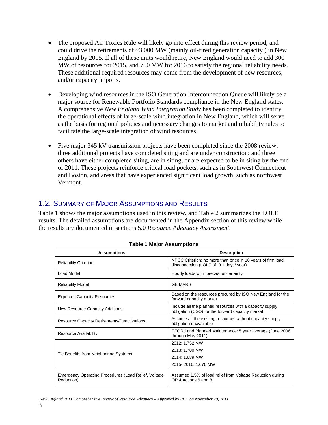- The proposed Air Toxics Rule will likely go into effect during this review period, and could drive the retirements of  $\sim$ 3,000 MW (mainly oil-fired generation capacity) in New England by 2015. If all of these units would retire, New England would need to add 300 MW of resources for 2015, and 750 MW for 2016 to satisfy the regional reliability needs. These additional required resources may come from the development of new resources, and/or capacity imports.
- Developing wind resources in the ISO Generation Interconnection Queue will likely be a major source for Renewable Portfolio Standards compliance in the New England states. A comprehensive *New England Wind Integration Study* has been completed to identify the operational effects of large-scale wind integration in New England, which will serve as the basis for regional policies and necessary changes to market and reliability rules to facilitate the large-scale integration of wind resources.
- Five major 345 kV transmission projects have been completed since the 2008 review; three additional projects have completed siting and are under construction; and three others have either completed siting, are in siting, or are expected to be in siting by the end of 2011. These projects reinforce critical load pockets, such as in Southwest Connecticut and Boston, and areas that have experienced significant load growth, such as northwest Vermont.

#### 1.2. SUMMARY OF MAJOR ASSUMPTIONS AND RESULTS

Table 1 shows the major assumptions used in this review, and Table 2 summarizes the LOLE results. The detailed assumptions are documented in the Appendix section of this review while the results are documented in sections 5.0 *Resource Adequacy Assessment*.

| <b>Assumptions</b>                                                 | <b>Description</b>                                                                                           |  |
|--------------------------------------------------------------------|--------------------------------------------------------------------------------------------------------------|--|
| <b>Reliability Criterion</b>                                       | NPCC Criterion: no more than once in 10 years of firm load<br>disconnection (LOLE of 0.1 days/ year)         |  |
| Load Model                                                         | Hourly loads with forecast uncertainty                                                                       |  |
| <b>Reliability Model</b>                                           | <b>GE MARS</b>                                                                                               |  |
| <b>Expected Capacity Resources</b>                                 | Based on the resources procured by ISO New England for the<br>forward capacity market                        |  |
| New Resource Capacity Additions                                    | Include all the planned resources with a capacity supply<br>obligation (CSO) for the forward capacity market |  |
| <b>Resource Capacity Retirements/Deactivations</b>                 | Assume all the existing resources without capacity supply<br>obligation unavailable                          |  |
| <b>Resource Availability</b>                                       | EFORd and Planned Maintenance: 5 year average (June 2006)<br>through May 2011)                               |  |
|                                                                    | 2012: 1,752 MW                                                                                               |  |
|                                                                    | 2013: 1,700 MW                                                                                               |  |
| Tie Benefits from Neighboring Systems                              | 2014: 1,689 MW                                                                                               |  |
|                                                                    | 2015-2016: 1,676 MW                                                                                          |  |
| Emergency Operating Procedures (Load Relief, Voltage<br>Reduction) | Assumed 1.5% of load relief from Voltage Reduction during<br>OP 4 Actions 6 and 8                            |  |

|  |  |  | <b>Table 1 Major Assumptions</b> |
|--|--|--|----------------------------------|
|--|--|--|----------------------------------|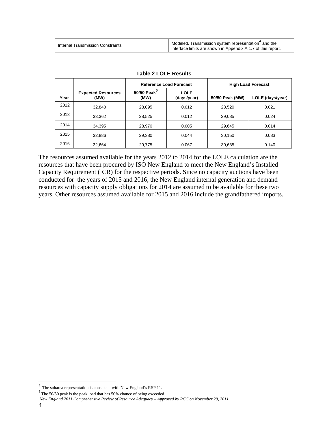| Internal Transmission Constraints | Modeled. Transmission system representation <sup>4</sup> and the<br>interface limits are shown in Appendix A.1.7 of this report. |
|-----------------------------------|----------------------------------------------------------------------------------------------------------------------------------|
|-----------------------------------|----------------------------------------------------------------------------------------------------------------------------------|

|      |                                   | <b>Reference Load Forecast</b>  |                            |                 | <b>High Load Forecast</b> |
|------|-----------------------------------|---------------------------------|----------------------------|-----------------|---------------------------|
| Year | <b>Expected Resources</b><br>(MW) | 50/50 Peak <sup>5</sup><br>(MW) | <b>LOLE</b><br>(days/year) | 50/50 Peak (MW) | LOLE (days/year)          |
| 2012 | 32,840                            | 28,095                          | 0.012                      | 28,520          | 0.021                     |
| 2013 | 33,362                            | 28,525                          | 0.012                      | 29,085          | 0.024                     |
| 2014 | 34,395                            | 28.970                          | 0.005                      | 29,645          | 0.014                     |
| 2015 | 32,886                            | 29,380                          | 0.044                      | 30,150          | 0.083                     |
| 2016 | 32,664                            | 29,775                          | 0.067                      | 30,635          | 0.140                     |

#### **Table 2 LOLE Results**

The resources assumed available for the years 2012 to 2014 for the LOLE calculation are the resources that have been procured by ISO New England to meet the New England's Installed Capacity Requirement (ICR) for the respective periods. Since no capacity auctions have been conducted for the years of 2015 and 2016, the New England internal generation and demand resources with capacity supply obligations for 2014 are assumed to be available for these two years. Other resources assumed available for 2015 and 2016 include the grandfathered imports.

<sup>&</sup>lt;sup>4</sup> The subarea representation is consistent with New England's RSP 11.<br> $\frac{5 \text{ Th. 50\%} \text{ Na}}{5 \text{ Th. 50\%}}$ 

The 50/50 peak is the peak load that has 50% chance of being exceeded.

*New England 2011 Comprehensive Review of Resource Adequacy – Approved by RCC on November 29, 2011*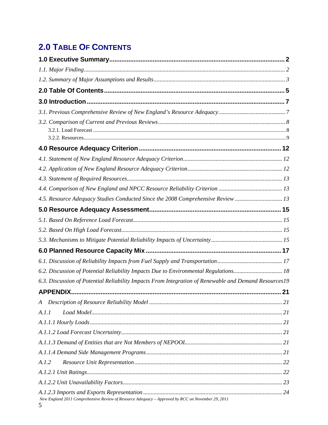# **2.0 TABLE OF CONTENTS**

| 4.5. Resource Adequacy Studies Conducted Since the 2008 Comprehensive Review  13                       |    |
|--------------------------------------------------------------------------------------------------------|----|
|                                                                                                        |    |
|                                                                                                        |    |
|                                                                                                        |    |
|                                                                                                        |    |
|                                                                                                        |    |
|                                                                                                        |    |
| 6.2. Discussion of Potential Reliability Impacts Due to Environmental Regulations 18                   |    |
| 6.3. Discussion of Potential Reliability Impacts From Integration of Renewable and Demand Resources19  |    |
| <b>APPENDIX.</b>                                                                                       | 21 |
|                                                                                                        |    |
| A.I.I                                                                                                  |    |
|                                                                                                        |    |
|                                                                                                        |    |
|                                                                                                        |    |
|                                                                                                        |    |
| A.1.2                                                                                                  |    |
|                                                                                                        |    |
|                                                                                                        |    |
| New England 2011 Comprehensive Review of Resource Adequacy - Approved by RCC on November 29, 2011<br>5 |    |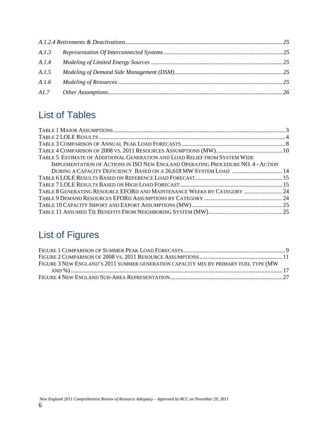| A.1.4 |  |
|-------|--|
| A.1.5 |  |
| A.I.6 |  |
|       |  |

# List of Tables

| TABLE 5 ESTIMATE OF ADDITIONAL GENERATION AND LOAD RELIEF FROM SYSTEM WIDE      |  |
|---------------------------------------------------------------------------------|--|
| IMPLEMENTATION OF ACTIONS IN ISO NEW ENGLAND OPERATING PROCEDURE NO. 4 - ACTION |  |
| DURING A CAPACITY DEFICIENCY BASED ON A 26,618 MW SYSTEM LOAD  14               |  |
|                                                                                 |  |
|                                                                                 |  |
| TABLE 8 GENERATING RESOURCE EFORD AND MAINTENANCE WEEKS BY CATEGORY  24         |  |
|                                                                                 |  |
|                                                                                 |  |
|                                                                                 |  |

# List of Figures

| FIGURE 3 NEW ENGLAND'S 2011 SUMMER GENERATION CAPACITY MIX BY PRIMARY FUEL TYPE (MW |  |
|-------------------------------------------------------------------------------------|--|
|                                                                                     |  |
|                                                                                     |  |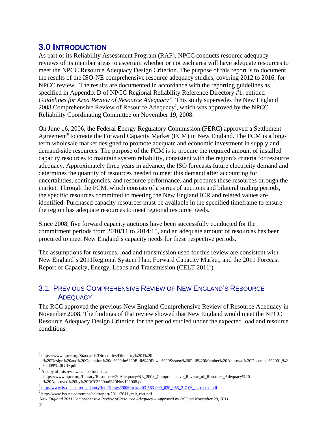## **3.0 INTRODUCTION**

As part of its Reliability Assessment Program (RAP), NPCC conducts resource adequacy reviews of its member areas to ascertain whether or not each area will have adequate resources to meet the NPCC Resource Adequacy Design Criterion. The purpose of this report is to document the results of the ISO-NE comprehensive resource adequacy studies, covering 2012 to 2016, for NPCC review. The results are documented in accordance with the reporting guidelines as specified in Appendix D of NPCC Regional Reliability Reference Directory #1, entitled Guidelines for Area Review of Resource Adequacy<sup>6</sup>. This study supersedes the New England 2008 Comprehensive Review of Resource Adequacy<sup>7</sup>, which was approved by the NPCC Reliability Coordinating Committee on November 19, 2008.

On June 16, 2006, the Federal Energy Regulatory Commission (FERC) approved a Settlement Agreement<sup>8</sup> to create the Forward Capacity Market (FCM) in New England. The FCM is a longterm wholesale market designed to promote adequate and economic investment in supply and demand-side resources. The purpose of the FCM is to procure the required amount of installed capacity resources to maintain system reliability, consistent with the region's criteria for resource adequacy. Approximately three years in advance, the ISO forecasts future electricity demand and determines the quantity of resources needed to meet this demand after accounting for uncertainties, contingencies, and resource performance, and procures these resources through the market. Through the FCM, which consists of a series of auctions and bilateral trading periods, the specific resources committed to meeting the New England ICR and related values are identified. Purchased capacity resources must be available in the specified timeframe to ensure the region has adequate resources to meet regional resource needs.

Since 2008, five forward capacity auctions have been successfully conducted for the commitment periods from 2010/11 to 2014/15, and an adequate amount of resources has been procured to meet New England's capacity needs for these respective periods.

The assumptions for resources, load and transmission used for this review are consistent with New England's 2011Regional System Plan, Forward Capacity Market, and the 2011 Forecast Report of Capacity, Energy, Loads and Transmission (CELT 2011<sup>9</sup>).

#### 3.1. PREVIOUS COMPREHENSIVE REVIEW OF NEW ENGLAND'S RESOURCE **ADEQUACY**

The RCC approved the previous New England Comprehensive Review of Resource Adequacy in November 2008. The findings of that review showed that New England would meet the NPCC Resource Adequacy Design Criterion for the period studied under the expected load and resource conditions.

 *New England 2011 Comprehensive Review of Resource Adequacy – Approved by RCC on November 29, 2011* 

<sup>6</sup> https://www.npcc.org/Standards/Directories/Directory%201%20-

<sup>%20</sup>Design%20and%20Operation%20of%20the%20Bulk%20Power%20System%20Full%20Member%20Approval%20December%2001,%2<br>02009%20GJD.pdf 02009%20GJD.pdf<br> $1/7$  A copy of this review can be found at:

https://www.npcc.org/Library/Resource%20Adequacy/NE\_2008\_Comprehensive\_Review\_of\_Resource\_Adequacy%20-

<sup>%20</sup>Approved%20by%20RCC%20on%20Nov192008.pdf 8 http://www.iso-ne.com/regulatory/ferc/filings/2006/mar/er03-563-000\_030\_055\_3-7-06\_corrected.pdf

<sup>9</sup> http://www.iso-ne.com/trans/celt/report/2011/2011\_celt\_rprt.pdf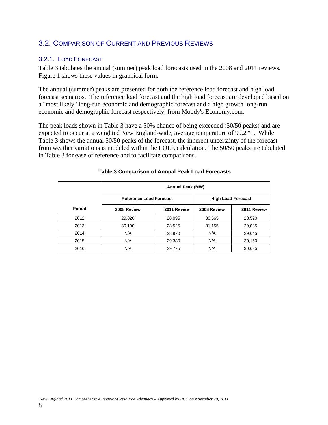#### 3.2. COMPARISON OF CURRENT AND PREVIOUS REVIEWS

#### 3.2.1. LOAD FORECAST

Table 3 tabulates the annual (summer) peak load forecasts used in the 2008 and 2011 reviews. Figure 1 shows these values in graphical form.

The annual (summer) peaks are presented for both the reference load forecast and high load forecast scenarios. The reference load forecast and the high load forecast are developed based on a "most likely" long-run economic and demographic forecast and a high growth long-run economic and demographic forecast respectively, from Moody's Economy.com.

The peak loads shown in Table 3 have a 50% chance of being exceeded (50/50 peaks) and are expected to occur at a weighted New England-wide, average temperature of 90.2 ºF. While Table 3 shows the annual 50/50 peaks of the forecast, the inherent uncertainty of the forecast from weather variations is modeled within the LOLE calculation. The 50/50 peaks are tabulated in Table 3 for ease of reference and to facilitate comparisons.

|        | <b>Annual Peak (MW)</b>        |             |             |                           |
|--------|--------------------------------|-------------|-------------|---------------------------|
|        | <b>Reference Load Forecast</b> |             |             | <b>High Load Forecast</b> |
| Period | 2008 Review                    | 2011 Review | 2008 Review | 2011 Review               |
| 2012   | 29,820                         | 28,095      | 30,565      | 28,520                    |
| 2013   | 30,190                         | 28,525      | 31,155      | 29,085                    |
| 2014   | N/A                            | 28,970      | N/A         | 29,645                    |
| 2015   | N/A                            | 29,380      | N/A         | 30,150                    |
| 2016   | N/A                            | 29,775      | N/A         | 30,635                    |

#### **Table 3 Comparison of Annual Peak Load Forecasts**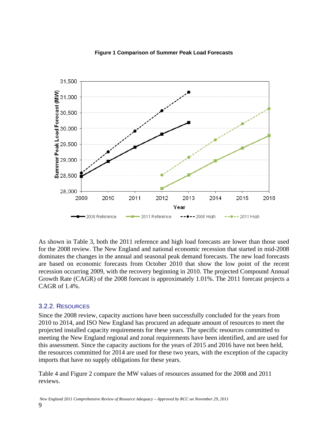

#### **Figure 1 Comparison of Summer Peak Load Forecasts**

As shown in Table 3, both the 2011 reference and high load forecasts are lower than those used for the 2008 review. The New England and national economic recession that started in mid-2008 dominates the changes in the annual and seasonal peak demand forecasts. The new load forecasts are based on economic forecasts from October 2010 that show the low point of the recent recession occurring 2009, with the recovery beginning in 2010. The projected Compound Annual Growth Rate (CAGR) of the 2008 forecast is approximately 1.01%. The 2011 forecast projects a CAGR of 1.4%.

#### 3.2.2. RESOURCES

Since the 2008 review, capacity auctions have been successfully concluded for the years from 2010 to 2014, and ISO New England has procured an adequate amount of resources to meet the projected installed capacity requirements for these years. The specific resources committed to meeting the New England regional and zonal requirements have been identified, and are used for this assessment. Since the capacity auctions for the years of 2015 and 2016 have not been held, the resources committed for 2014 are used for these two years, with the exception of the capacity imports that have no supply obligations for these years.

Table 4 and Figure 2 compare the MW values of resources assumed for the 2008 and 2011 reviews.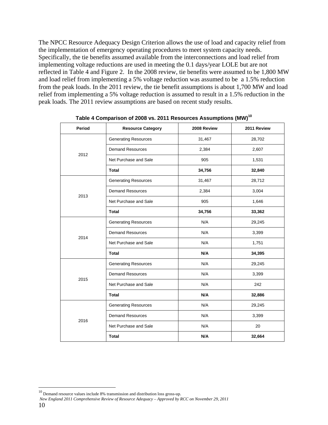The NPCC Resource Adequacy Design Criterion allows the use of load and capacity relief from the implementation of emergency operating procedures to meet system capacity needs. Specifically, the tie benefits assumed available from the interconnections and load relief from implementing voltage reductions are used in meeting the 0.1 days/year LOLE but are not reflected in Table 4 and Figure 2. In the 2008 review, tie benefits were assumed to be 1,800 MW and load relief from implementing a 5% voltage reduction was assumed to be a 1.5% reduction from the peak loads. In the 2011 review, the tie benefit assumptions is about 1,700 MW and load relief from implementing a 5% voltage reduction is assumed to result in a 1.5% reduction in the peak loads. The 2011 review assumptions are based on recent study results.

| Period | <b>Resource Category</b>     | 2008 Review | 2011 Review |
|--------|------------------------------|-------------|-------------|
|        | <b>Generating Resources</b>  | 31,467      | 28,702      |
|        | <b>Demand Resources</b>      | 2,384       | 2,607       |
| 2012   | Net Purchase and Sale        | 905         |             |
|        | <b>Total</b>                 | 34,756      | 32,840      |
|        | <b>Generating Resources</b>  | 31,467      | 28,712      |
| 2013   | <b>Demand Resources</b>      | 2,384       | 3,004       |
|        | Net Purchase and Sale        | 905         | 1,646       |
|        | <b>Total</b>                 | 34,756      | 33,362      |
|        | <b>Generating Resources</b>  | N/A         | 29,245      |
| 2014   | <b>Demand Resources</b>      | N/A         | 3,399       |
|        | N/A<br>Net Purchase and Sale |             | 1,751       |
|        | <b>Total</b>                 | N/A         | 34,395      |
|        | <b>Generating Resources</b>  | N/A         | 29,245      |
| 2015   | <b>Demand Resources</b>      | N/A         | 3,399       |
|        | Net Purchase and Sale        | N/A         | 242         |
|        | <b>Total</b>                 | N/A         | 32,886      |
|        | <b>Generating Resources</b>  | N/A         | 29,245      |
| 2016   | <b>Demand Resources</b>      | N/A         | 3,399       |
|        | Net Purchase and Sale        | N/A         | 20          |
|        | <b>Total</b>                 | N/A         | 32,664      |

**Table 4 Comparison of 2008 vs. 2011 Resources Assumptions (MW)<sup>10</sup>**

 $\overline{a}$ 

 *New England 2011 Comprehensive Review of Resource Adequacy – Approved by RCC on November 29, 2011*  10

 $10$  Demand resource values include 8% transmission and distribution loss gross-up.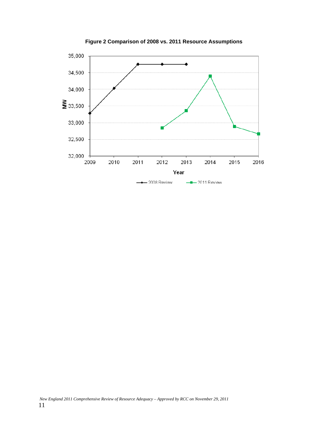

**Figure 2 Comparison of 2008 vs. 2011 Resource Assumptions**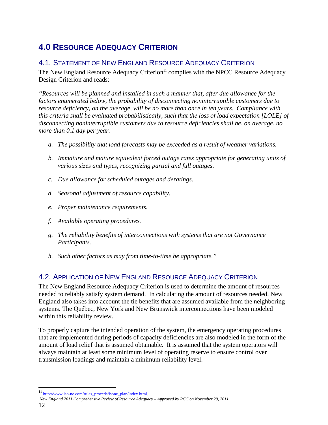# **4.0 RESOURCE ADEQUACY CRITERION**

#### 4.1. STATEMENT OF NEW ENGLAND RESOURCE ADEQUACY CRITERION

The New England Resource Adequacy Criterion<sup>11</sup> complies with the NPCC Resource Adequacy Design Criterion and reads:

*"Resources will be planned and installed in such a manner that, after due allowance for the factors enumerated below, the probability of disconnecting noninterruptible customers due to resource deficiency, on the average, will be no more than once in ten years. Compliance with this criteria shall be evaluated probabilistically, such that the loss of load expectation [LOLE] of disconnecting noninterruptible customers due to resource deficiencies shall be, on average, no more than 0.1 day per year.* 

- *a. The possibility that load forecasts may be exceeded as a result of weather variations.*
- *b. Immature and mature equivalent forced outage rates appropriate for generating units of various sizes and types, recognizing partial and full outages.*
- *c. Due allowance for scheduled outages and deratings.*
- *d. Seasonal adjustment of resource capability.*
- *e. Proper maintenance requirements.*
- *f. Available operating procedures.*
- *g. The reliability benefits of interconnections with systems that are not Governance Participants.*
- *h. Such other factors as may from time-to-time be appropriate."*

### 4.2. APPLICATION OF NEW ENGLAND RESOURCE ADEQUACY CRITERION

The New England Resource Adequacy Criterion is used to determine the amount of resources needed to reliably satisfy system demand. In calculating the amount of resources needed, New England also takes into account the tie benefits that are assumed available from the neighboring systems. The Québec, New York and New Brunswick interconnections have been modeled within this reliability review.

To properly capture the intended operation of the system, the emergency operating procedures that are implemented during periods of capacity deficiencies are also modeled in the form of the amount of load relief that is assumed obtainable. It is assumed that the system operators will always maintain at least some minimum level of operating reserve to ensure control over transmission loadings and maintain a minimum reliability level.

<sup>11</sup> http://www.iso-ne.com/rules\_proceds/isone\_plan/index.html.

*New England 2011 Comprehensive Review of Resource Adequacy – Approved by RCC on November 29, 2011*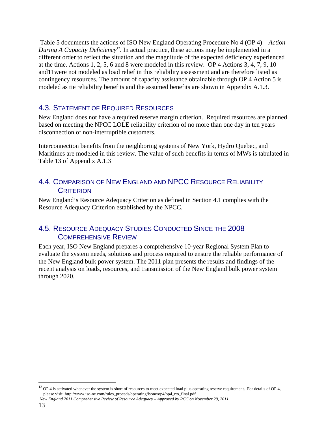Table 5 documents the actions of ISO New England Operating Procedure No 4 (OP 4) – *Action During A Capacity Deficiency*<sup>12</sup>. In actual practice, these actions may be implemented in a different order to reflect the situation and the magnitude of the expected deficiency experienced at the time. Actions 1, 2, 5, 6 and 8 were modeled in this review. OP 4 Actions 3, 4, 7, 9, 10 and11were not modeled as load relief in this reliability assessment and are therefore listed as contingency resources. The amount of capacity assistance obtainable through OP 4 Action 5 is modeled as tie reliability benefits and the assumed benefits are shown in Appendix A.1.3.

#### 4.3. STATEMENT OF REQUIRED RESOURCES

New England does not have a required reserve margin criterion. Required resources are planned based on meeting the NPCC LOLE reliability criterion of no more than one day in ten years disconnection of non-interruptible customers.

Interconnection benefits from the neighboring systems of New York, Hydro Quebec, and Maritimes are modeled in this review. The value of such benefits in terms of MWs is tabulated in Table 13 of Appendix A.1.3

#### 4.4. COMPARISON OF NEW ENGLAND AND NPCC RESOURCE RELIABILITY **CRITERION**

New England's Resource Adequacy Criterion as defined in Section 4.1 complies with the Resource Adequacy Criterion established by the NPCC.

#### 4.5. RESOURCE ADEQUACY STUDIES CONDUCTED SINCE THE 2008 COMPREHENSIVE REVIEW

Each year, ISO New England prepares a comprehensive 10-year Regional System Plan to evaluate the system needs, solutions and process required to ensure the reliable performance of the New England bulk power system. The 2011 plan presents the results and findings of the recent analysis on loads, resources, and transmission of the New England bulk power system through 2020.

 $12$  OP 4 is activated whenever the system is short of resources to meet expected load plus operating reserve requirement. For details of OP 4, please visit: http://www.iso-ne.com/rules\_proceds/operating/isone/op4/op4\_rto\_final.pdf

*New England 2011 Comprehensive Review of Resource Adequacy – Approved by RCC on November 29, 2011*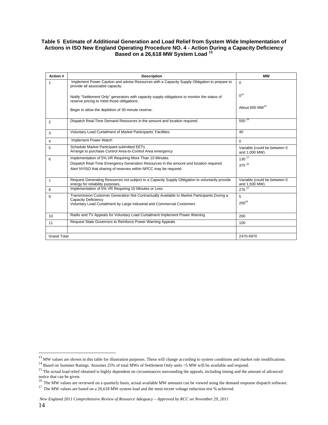#### **Table 5 Estimate of Additional Generation and Load Relief from System Wide Implementation of Actions in ISO New England Operating Procedure NO. 4 - Action During a Capacity Deficiency Based on a 26,618 MW System Load <sup>13</sup>**

| Action #           | <b>Description</b>                                                                                                                          | <b>MW</b>                                     |
|--------------------|---------------------------------------------------------------------------------------------------------------------------------------------|-----------------------------------------------|
| 1                  | Implement Power Caution and advise Resources with a Capacity Supply Obligation to prepare to<br>provide all associated capacity.            | $\Omega$                                      |
|                    | Notify "Settlement Only" generators with capacity supply obligations to monitor the status of<br>reserve pricing to meet those obligations. | $0^{14}$                                      |
|                    | Begin to allow the depletion of 30-minute reserve.                                                                                          | About 600 MW <sup>15</sup>                    |
| 2                  | Dispatch Real-Time Demand Resources in the amount and location required.                                                                    | $550^{16}$                                    |
| 3                  | Voluntary Load Curtailment of Market Participants' Facilities                                                                               | 40                                            |
| 4                  | Implement Power Watch                                                                                                                       | $\Omega$                                      |
| 5                  | Schedule Market Participant-submitted EETs<br>Arrange to purchase Control Area-to-Control Area emergency                                    | Variable (could be between 0<br>and 1,000 MW) |
| 6                  | Implementation of 5% VR Requiring More Than 10 Minutes                                                                                      | $130^{17}$                                    |
|                    | Dispatch Real-Time Emergency Generation Resources in the amount and location required.                                                      | $375^{26}$                                    |
|                    | Alert NYISO that sharing of reserves within NPCC may be required                                                                            |                                               |
| $\overline{7}$     | Request Generating Resources not subject to a Capacity Supply Obligation to voluntarily provide<br>energy for reliability purposes.         | Variable (could be between 0<br>and 1,500 MW) |
| 8                  | Implementation of 5% VR Requiring 10 Minutes or Less                                                                                        | 270 <sup>27</sup>                             |
| 9                  | Transmission Customer Generation Not Contractually Available to Market Participants During a                                                | 5                                             |
|                    | <b>Capacity Deficiency</b><br>Voluntary Load Curtailment by Large Industrial and Commercial Customers                                       | $200^{24}$                                    |
| 10                 | Radio and TV Appeals for Voluntary Load Curtailment Implement Power Warning                                                                 | 200                                           |
| 11                 | Request State Governors to Reinforce Power Warning Appeals                                                                                  | 100                                           |
|                    |                                                                                                                                             |                                               |
| <b>Grand Total</b> |                                                                                                                                             | 2470-4970                                     |

<sup>&</sup>lt;sup>13</sup> MW values are shown in this table for illustration purposes. These will change according to system conditions and market rule modifications.

<sup>14&</sup>lt;br>Based on Summer Ratings. Assumes 25% of total MWs of Settlement Only units <5 MW will be available and respond.<br><sup>15</sup> The actual load relief obtained is highly dependent on circumstances surrounding the appeals, includin notice that can be given.<br><sup>16</sup> The MW values are reviewed on a quarterly basis; actual available MW amounts can be viewed using the demand response dispatch software.

<sup>&</sup>lt;sup>17</sup> The MW values are based on a 26,618 MW system load and the most recent voltage reduction test % achieved.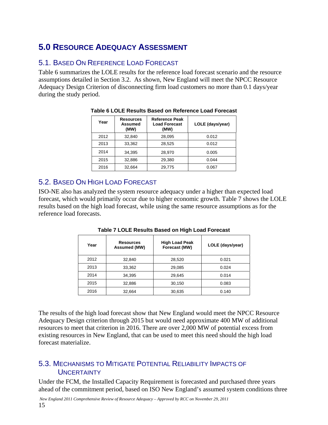# **5.0 RESOURCE ADEQUACY ASSESSMENT**

### 5.1. BASED ON REFERENCE LOAD FORECAST

Table 6 summarizes the LOLE results for the reference load forecast scenario and the resource assumptions detailed in Section 3.2. As shown, New England will meet the NPCC Resource Adequacy Design Criterion of disconnecting firm load customers no more than 0.1 days/year during the study period.

| Year | <b>Resources</b><br>Assumed<br>(MW) | <b>Reference Peak</b><br><b>Load Forecast</b><br>(MW) | LOLE (days/year) |
|------|-------------------------------------|-------------------------------------------------------|------------------|
| 2012 | 32.840                              | 28,095                                                | 0.012            |
| 2013 | 33.362                              | 28,525                                                | 0.012            |
| 2014 | 34,395                              | 28,970                                                | 0.005            |
| 2015 | 32.886                              | 29.380                                                | 0.044            |
| 2016 | 32.664                              | 29,775                                                | 0.067            |

#### **Table 6 LOLE Results Based on Reference Load Forecast**

### 5.2. BASED ON HIGH LOAD FORECAST

ISO-NE also has analyzed the system resource adequacy under a higher than expected load forecast, which would primarily occur due to higher economic growth. Table 7 shows the LOLE results based on the high load forecast, while using the same resource assumptions as for the reference load forecasts.

| Year | <b>Resources</b><br>Assumed (MW) | <b>High Load Peak</b><br>Forecast (MW) | LOLE (days/year) |
|------|----------------------------------|----------------------------------------|------------------|
| 2012 | 32,840                           | 28,520                                 | 0.021            |
| 2013 | 33,362                           | 29,085                                 | 0.024            |
| 2014 | 34,395                           | 29,645                                 | 0.014            |
| 2015 | 32,886                           | 30,150                                 | 0.083            |
| 2016 | 32,664                           | 30,635                                 | 0.140            |

**Table 7 LOLE Results Based on High Load Forecast** 

The results of the high load forecast show that New England would meet the NPCC Resource Adequacy Design criterion through 2015 but would need approximate 400 MW of additional resources to meet that criterion in 2016. There are over 2,000 MW of potential excess from existing resources in New England, that can be used to meet this need should the high load forecast materialize.

#### 5.3. MECHANISMS TO MITIGATE POTENTIAL RELIABILITY IMPACTS OF **UNCERTAINTY**

Under the FCM, the Installed Capacity Requirement is forecasted and purchased three years ahead of the commitment period, based on ISO New England's assumed system conditions three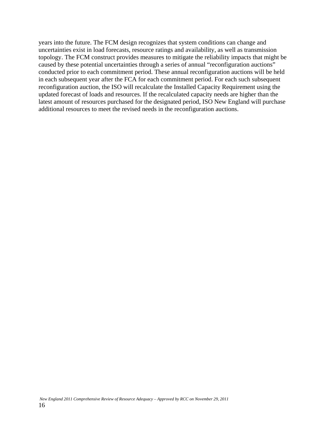years into the future. The FCM design recognizes that system conditions can change and uncertainties exist in load forecasts, resource ratings and availability, as well as transmission topology. The FCM construct provides measures to mitigate the reliability impacts that might be caused by these potential uncertainties through a series of annual "reconfiguration auctions" conducted prior to each commitment period. These annual reconfiguration auctions will be held in each subsequent year after the FCA for each commitment period. For each such subsequent reconfiguration auction, the ISO will recalculate the Installed Capacity Requirement using the updated forecast of loads and resources. If the recalculated capacity needs are higher than the latest amount of resources purchased for the designated period, ISO New England will purchase additional resources to meet the revised needs in the reconfiguration auctions.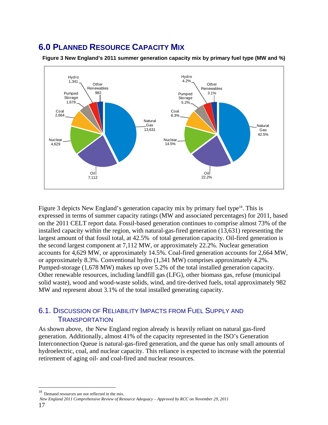# **6.0 PLANNED RESOURCE CAPACITY MIX**



**Figure 3 New England's 2011 summer generation capacity mix by primary fuel type (MW and %)** 

Figure 3 depicts New England's generation capacity mix by primary fuel type<sup>18</sup>. This is expressed in terms of summer capacity ratings (MW and associated percentages) for 2011, based on the 2011 CELT report data. Fossil-based generation continues to comprise almost 73% of the installed capacity within the region, with natural-gas-fired generation (13,631) representing the largest amount of that fossil total, at 42.5% of total generation capacity. Oil-fired generation is the second largest component at 7,112 MW, or approximately 22.2%. Nuclear generation accounts for 4,629 MW, or approximately 14.5%. Coal-fired generation accounts for 2,664 MW, or approximately 8.3%. Conventional hydro (1,341 MW) comprises approximately 4.2%. Pumped-storage (1,678 MW) makes up over 5.2% of the total installed generation capacity. Other renewable resources, including landfill gas (LFG), other biomass gas, refuse (municipal solid waste), wood and wood-waste solids, wind, and tire-derived fuels, total approximately 982 MW and represent about 3.1% of the total installed generating capacity.

#### 6.1. DISCUSSION OF RELIABILITY IMPACTS FROM FUEL SUPPLY AND **TRANSPORTATION**

As shown above, the New England region already is heavily reliant on natural gas-fired generation. Additionally, almost 41% of the capacity represented in the ISO's Generation Interconnection Queue is natural-gas-fired generation, and the queue has only small amounts of hydroelectric, coal, and nuclear capacity. This reliance is expected to increase with the potential retirement of aging oil- and coal-fired and nuclear resources.

<sup>18</sup> Demand resources are not reflected in the mix.

*New England 2011 Comprehensive Review of Resource Adequacy – Approved by RCC on November 29, 2011*  17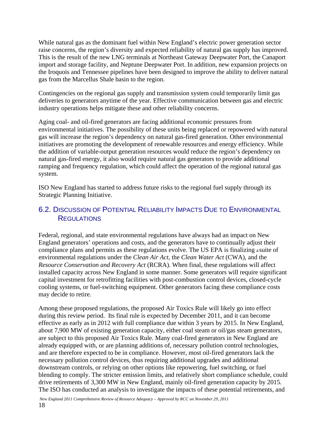While natural gas as the dominant fuel within New England's electric power generation sector raise concerns, the region's diversity and expected reliability of natural gas supply has improved. This is the result of the new LNG terminals at Northeast Gateway Deepwater Port, the Canaport import and storage facility, and Neptune Deepwater Port. In addition, new expansion projects on the Iroquois and Tennessee pipelines have been designed to improve the ability to deliver natural gas from the Marcellus Shale basin to the region.

Contingencies on the regional gas supply and transmission system could temporarily limit gas deliveries to generators anytime of the year. Effective communication between gas and electric industry operations helps mitigate these and other reliability concerns.

Aging coal- and oil-fired generators are facing additional economic pressures from environmental initiatives. The possibility of these units being replaced or repowered with natural gas will increase the region's dependency on natural gas-fired generation. Other environmental initiatives are promoting the development of renewable resources and energy efficiency. While the addition of variable-output generation resources would reduce the region's dependency on natural gas-fired energy, it also would require natural gas generators to provide additional ramping and frequency regulation, which could affect the operation of the regional natural gas system.

ISO New England has started to address future risks to the regional fuel supply through its Strategic Planning Initiative.

#### 6.2. DISCUSSION OF POTENTIAL RELIABILITY IMPACTS DUE TO ENVIRONMENTAL **REGULATIONS**

Federal, regional, and state environmental regulations have always had an impact on New England generators' operations and costs, and the generators have to continually adjust their compliance plans and permits as these regulations evolve. The US EPA is finalizing a suite of environmental regulations under the *Clean Air Act*, the *Clean Water Act* (CWA)*,* and the *Resource Conservation and Recovery Act* (RCRA). When final, these regulations will affect installed capacity across New England in some manner. Some generators will require significant capital investment for retrofitting facilities with post-combustion control devices, closed-cycle cooling systems, or fuel-switching equipment. Other generators facing these compliance costs may decide to retire.

Among these proposed regulations, the proposed Air Toxics Rule will likely go into effect during this review period. Its final rule is expected by December 2011, and it can become effective as early as in 2012 with full compliance due within 3 years by 2015. In New England, about 7,900 MW of existing generation capacity, either coal steam or oil/gas steam generators, are subject to this proposed Air Toxics Rule. Many coal-fired generators in New England are already equipped with, or are planning additions of, necessary pollution control technologies, and are therefore expected to be in compliance. However, most oil-fired generators lack the necessary pollution control devices, thus requiring additional upgrades and additional downstream controls, or relying on other options like repowering, fuel switching, or fuel blending to comply. The stricter emission limits, and relatively short compliance schedule, could drive retirements of 3,300 MW in New England, mainly oil-fired generation capacity by 2015. The ISO has conducted an analysis to investigate the impacts of these potential retirements, and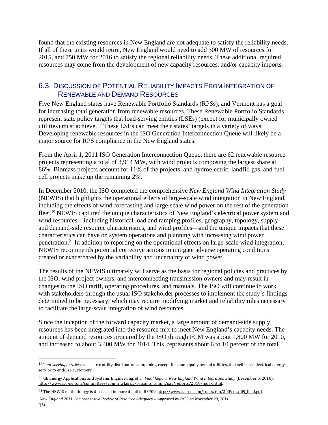found that the existing resources in New England are not adequate to satisfy the reliability needs. If all of these units would retire, New England would need to add 300 MW of resources for 2015, and 750 MW for 2016 to satisfy the regional reliability needs. These additional required resources may come from the development of new capacity resources, and/or capacity imports.

#### 6.3. DISCUSSION OF POTENTIAL RELIABILITY IMPACTS FROM INTEGRATION OF RENEWABLE AND DEMAND RESOURCES

Five New England states have Renewable Portfolio Standards (RPSs), and Vermont has a goal for increasing total generation from renewable resources. These Renewable Portfolio Standards represent state policy targets that load-serving entities (LSEs) (except for municipally owned utilities) must achieve. <sup>19</sup> These LSEs can meet their states' targets in a variety of ways. Developing renewable resources in the ISO Generation Interconnection Queue will likely be a major source for RPS compliance in the New England states.

From the April 1, 2011 ISO Generation Interconnection Queue, there are 62 renewable resource projects representing a total of 3,914 MW, with wind projects composing the largest share at 86%. Biomass projects account for 11% of the projects, and hydroelectric, landfill gas, and fuel cell projects make up the remaining 2%.

In December 2010, the ISO completed the comprehensive *New England Wind Integration Study* (NEWIS) that highlights the operational effects of large-scale wind integration in New England, including the effects of wind forecasting and large-scale wind power on the rest of the generation fleet.<sup>20</sup> NEWIS captured the unique characteristics of New England's electrical power system and wind resources—including historical load and ramping profiles, geography, topology, supplyand demand-side resource characteristics, and wind profiles—and the unique impacts that these characteristics can have on system operations and planning with increasing wind power penetration.21 In addition to reporting on the operational effects on large-scale wind integration, NEWIS recommends potential corrective actions to mitigate adverse operating conditions created or exacerbated by the variability and uncertainty of wind power.

The results of the NEWIS ultimately will serve as the basis for regional policies and practices by the ISO, wind project owners, and interconnecting transmission owners and may result in changes to the ISO tariff, operating procedures, and manuals. The ISO will continue to work with stakeholders through the usual ISO stakeholder processes to implement the study's findings determined to be necessary, which may require modifying market and reliability rules necessary to facilitate the large-scale integration of wind resources.

Since the inception of the forward capacity market, a large amount of demand-side supply resources has been integrated into the resource mix to meet New England's capacity needs. The amount of demand resources procured by the ISO through FCM was about 1,800 MW for 2010, and increased to about 3,400 MW for 2014. This represents about 6 to 10 percent of the total

*<sup>19</sup>Loadserving entities* are electric utility distribution companies, except for municipally owned utilities, that sell basic electrical energy service to end-use customers.

<sup>20</sup> GE Energy Applications and Systems Engineering, et al, *Final Report: New England Wind Integration Study* (December 5, 2010), http://www.iso-ne.com/committees/comm\_wkgrps/prtcpnts\_comm/pac/reports/2010/index.html.

<sup>&</sup>lt;sup>21</sup> The NEWIS methodology is discussed in more detail in RSP09, http://www.iso-ne.com/trans/rsp/2009/rsp09\_final.pdf.

*New England 2011 Comprehensive Review of Resource Adequacy – Approved by RCC on November 29, 2011*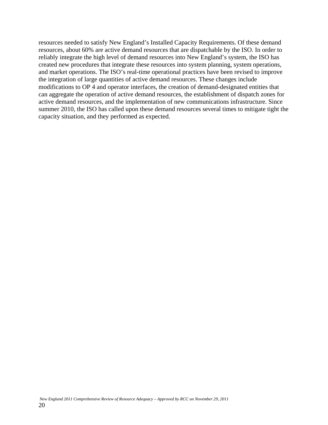resources needed to satisfy New England's Installed Capacity Requirements. Of these demand resources, about 60% are active demand resources that are dispatchable by the ISO. In order to reliably integrate the high level of demand resources into New England's system, the ISO has created new procedures that integrate these resources into system planning, system operations, and market operations. The ISO's real-time operational practices have been revised to improve the integration of large quantities of active demand resources. These changes include modifications to OP 4 and operator interfaces, the creation of demand-designated entities that can aggregate the operation of active demand resources, the establishment of dispatch zones for active demand resources, and the implementation of new communications infrastructure. Since summer 2010, the ISO has called upon these demand resources several times to mitigate tight the capacity situation, and they performed as expected.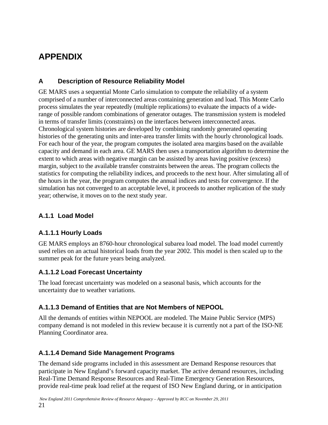# **APPENDIX**

#### **A Description of Resource Reliability Model**

GE MARS uses a sequential Monte Carlo simulation to compute the reliability of a system comprised of a number of interconnected areas containing generation and load. This Monte Carlo process simulates the year repeatedly (multiple replications) to evaluate the impacts of a widerange of possible random combinations of generator outages. The transmission system is modeled in terms of transfer limits (constraints) on the interfaces between interconnected areas. Chronological system histories are developed by combining randomly generated operating histories of the generating units and inter-area transfer limits with the hourly chronological loads. For each hour of the year, the program computes the isolated area margins based on the available capacity and demand in each area. GE MARS then uses a transportation algorithm to determine the extent to which areas with negative margin can be assisted by areas having positive (excess) margin, subject to the available transfer constraints between the areas. The program collects the statistics for computing the reliability indices, and proceeds to the next hour. After simulating all of the hours in the year, the program computes the annual indices and tests for convergence. If the simulation has not converged to an acceptable level, it proceeds to another replication of the study year; otherwise, it moves on to the next study year.

#### **A.1.1 Load Model**

#### **A.1.1.1 Hourly Loads**

GE MARS employs an 8760-hour chronological subarea load model. The load model currently used relies on an actual historical loads from the year 2002. This model is then scaled up to the summer peak for the future years being analyzed.

#### **A.1.1.2 Load Forecast Uncertainty**

The load forecast uncertainty was modeled on a seasonal basis, which accounts for the uncertainty due to weather variations.

#### **A.1.1.3 Demand of Entities that are Not Members of NEPOOL**

All the demands of entities within NEPOOL are modeled. The Maine Public Service (MPS) company demand is not modeled in this review because it is currently not a part of the ISO-NE Planning Coordinator area.

#### **A.1.1.4 Demand Side Management Programs**

The demand side programs included in this assessment are Demand Response resources that participate in New England's forward capacity market. The active demand resources, including Real-Time Demand Response Resources and Real-Time Emergency Generation Resources, provide real-time peak load relief at the request of ISO New England during, or in anticipation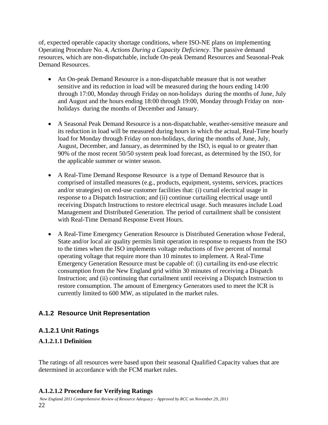of, expected operable capacity shortage conditions, where ISO-NE plans on implementing Operating Procedure No. 4, *Actions During a Capacity Deficiency*. The passive demand resources, which are non-dispatchable, include On-peak Demand Resources and Seasonal-Peak Demand Resources.

- An On-peak Demand Resource is a non-dispatchable measure that is not weather sensitive and its reduction in load will be measured during the hours ending 14:00 through 17:00, Monday through Friday on non-holidays during the months of June, July and August and the hours ending 18:00 through 19:00, Monday through Friday on nonholidays during the months of December and January.
- A Seasonal Peak Demand Resource is a non-dispatchable, weather-sensitive measure and its reduction in load will be measured during hours in which the actual, Real-Time hourly load for Monday through Friday on non-holidays, during the months of June, July, August, December, and January, as determined by the ISO, is equal to or greater than 90% of the most recent 50/50 system peak load forecast, as determined by the ISO, for the applicable summer or winter season.
- A Real-Time Demand Response Resource is a type of Demand Resource that is comprised of installed measures (e.g., products, equipment, systems, services, practices and/or strategies) on end-use customer facilities that: (i) curtail electrical usage in response to a Dispatch Instruction; and (ii) continue curtailing electrical usage until receiving Dispatch Instructions to restore electrical usage. Such measures include Load Management and Distributed Generation. The period of curtailment shall be consistent with Real-Time Demand Response Event Hours.
- A Real-Time Emergency Generation Resource is Distributed Generation whose Federal, State and/or local air quality permits limit operation in response to requests from the ISO to the times when the ISO implements voltage reductions of five percent of normal operating voltage that require more than 10 minutes to implement. A Real-Time Emergency Generation Resource must be capable of: (i) curtailing its end-use electric consumption from the New England grid within 30 minutes of receiving a Dispatch Instruction; and (ii) continuing that curtailment until receiving a Dispatch Instruction to restore consumption. The amount of Emergency Generators used to meet the ICR is currently limited to 600 MW, as stipulated in the market rules.

#### **A.1.2 Resource Unit Representation**

#### **A.1.2.1 Unit Ratings**

#### **A.1.2.1.1 Definition**

The ratings of all resources were based upon their seasonal Qualified Capacity values that are determined in accordance with the FCM market rules.

#### **A.1.2.1.2 Procedure for Verifying Ratings**

 *New England 2011 Comprehensive Review of Resource Adequacy – Approved by RCC on November 29, 2011*  22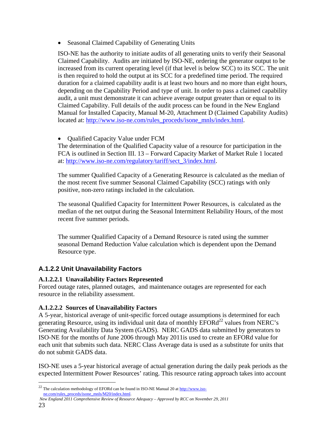Seasonal Claimed Capability of Generating Units

ISO-NE has the authority to initiate audits of all generating units to verify their Seasonal Claimed Capability. Audits are initiated by ISO-NE, ordering the generator output to be increased from its current operating level (if that level is below SCC) to its SCC. The unit is then required to hold the output at its SCC for a predefined time period. The required duration for a claimed capability audit is at least two hours and no more than eight hours, depending on the Capability Period and type of unit. In order to pass a claimed capability audit, a unit must demonstrate it can achieve average output greater than or equal to its Claimed Capability. Full details of the audit process can be found in the New England Manual for Installed Capacity, Manual M-20, Attachment D (Claimed Capability Audits) located at: http://www.iso-ne.com/rules\_proceds/isone\_mnls/index.html.

Qualified Capacity Value under FCM

The determination of the Qualified Capacity value of a resource for participation in the FCA is outlined in Section III. 13 – Forward Capacity Market of Market Rule 1 located at: http://www.iso-ne.com/regulatory/tariff/sect\_3/index.html.

The summer Qualified Capacity of a Generating Resource is calculated as the median of the most recent five summer Seasonal Claimed Capability (SCC) ratings with only positive, non-zero ratings included in the calculation.

The seasonal Qualified Capacity for Intermittent Power Resources, is calculated as the median of the net output during the Seasonal Intermittent Reliability Hours, of the most recent five summer periods.

The summer Qualified Capacity of a Demand Resource is rated using the summer seasonal Demand Reduction Value calculation which is dependent upon the Demand Resource type.

#### **A.1.2.2 Unit Unavailability Factors**

#### **A.1.2.2.1 Unavailability Factors Represented**

Forced outage rates, planned outages, and maintenance outages are represented for each resource in the reliability assessment.

#### **A.1.2.2.2 Sources of Unavailability Factors**

A 5-year, historical average of unit-specific forced outage assumptions is determined for each generating Resource, using its individual unit data of monthly  $EFORd<sup>22</sup>$  values from NERC's Generating Availability Data System (GADS). NERC GADS data submitted by generators to ISO-NE for the months of June 2006 through May 2011is used to create an EFORd value for each unit that submits such data. NERC Class Average data is used as a substitute for units that do not submit GADS data.

ISO-NE uses a 5-year historical average of actual generation during the daily peak periods as the expected Intermittent Power Resources' rating. This resource rating approach takes into account

 *New England 2011 Comprehensive Review of Resource Adequacy – Approved by RCC on November 29, 2011* 

<sup>&</sup>lt;sup>22</sup> The calculation methodology of EFORd can be found in ISO-NE Manual 20 at  $\frac{http://www.iso$ ne.com/rules\_proceds/isone\_mnls/M20/index.html.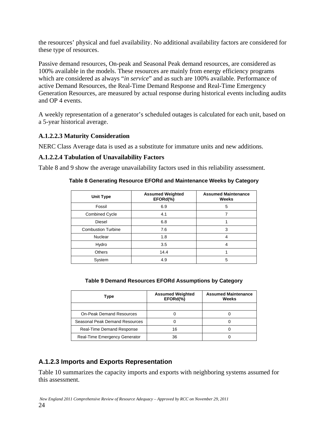the resources' physical and fuel availability. No additional availability factors are considered for these type of resources.

Passive demand resources, On-peak and Seasonal Peak demand resources, are considered as 100% available in the models. These resources are mainly from energy efficiency programs which are considered as always "*in service*" and as such are 100% available. Performance of active Demand Resources, the Real-Time Demand Response and Real-Time Emergency Generation Resources, are measured by actual response during historical events including audits and OP 4 events.

A weekly representation of a generator's scheduled outages is calculated for each unit, based on a 5-year historical average.

#### **A.1.2.2.3 Maturity Consideration**

NERC Class Average data is used as a substitute for immature units and new additions.

#### **A.1.2.2.4 Tabulation of Unavailability Factors**

Table 8 and 9 show the average unavailability factors used in this reliability assessment.

**Table 8 Generating Resource EFORd and Maintenance Weeks by Category** 

| Unit Type                 | <b>Assumed Weighted</b><br>EFORd(%) | <b>Assumed Maintenance</b><br>Weeks |
|---------------------------|-------------------------------------|-------------------------------------|
| Fossil                    | 6.9                                 | 5                                   |
| Combined Cycle            | 4.1                                 |                                     |
| Diesel                    | 6.8                                 |                                     |
| <b>Combustion Turbine</b> | 7.6                                 | 3                                   |
| <b>Nuclear</b>            | 1.8                                 | 4                                   |
| Hydro                     | 3.5                                 | 4                                   |
| Others                    | 14.4                                |                                     |
| System                    | 4.9                                 | 5                                   |

| Table 9 Demand Resources EFORd Assumptions by Category |  |  |  |
|--------------------------------------------------------|--|--|--|
|                                                        |  |  |  |

| Type                             | <b>Assumed Weighted</b><br>EFORd(%) | <b>Assumed Maintenance</b><br>Weeks |  |
|----------------------------------|-------------------------------------|-------------------------------------|--|
|                                  |                                     |                                     |  |
| <b>On-Peak Demand Resources</b>  |                                     |                                     |  |
| Seasonal Peak Demand Resources   |                                     |                                     |  |
| <b>Real-Time Demand Response</b> | 16                                  |                                     |  |
| Real-Time Emergency Generator    | 36                                  |                                     |  |

#### **A.1.2.3 Imports and Exports Representation**

Table 10 summarizes the capacity imports and exports with neighboring systems assumed for this assessment.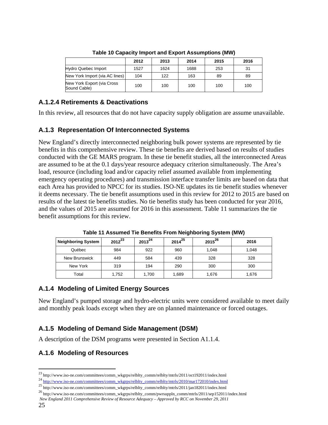|                                            | 2012 | 2013 | 2014 | 2015 | 2016 |
|--------------------------------------------|------|------|------|------|------|
| <b>Hydro Quebec Import</b>                 | 1527 | 1624 | 1688 | 253  | 31   |
| New York Import (via AC lines)             | 104  | 122  | 163  | 89   | 89   |
| New York Export (via Cross<br>Sound Cable) | 100  | 100  | 100  | 100  | 100  |

**Table 10 Capacity Import and Export Assumptions (MW)** 

#### **A.1.2.4 Retirements & Deactivations**

In this review, all resources that do not have capacity supply obligation are assume unavailable.

#### **A.1.3 Representation Of Interconnected Systems**

New England's directly interconnected neighboring bulk power systems are represented by tie benefits in this comprehensive review. These tie benefits are derived based on results of studies conducted with the GE MARS program. In these tie benefit studies, all the interconnected Areas are assumed to be at the 0.1 days/year resource adequacy criterion simultaneously. The Area's load, resource (including load and/or capacity relief assumed available from implementing emergency operating procedures) and transmission interface transfer limits are based on data that each Area has provided to NPCC for its studies. ISO-NE updates its tie benefit studies whenever it deems necessary. The tie benefit assumptions used in this review for 2012 to 2015 are based on results of the latest tie benefits studies. No tie benefits study has been conducted for year 2016, and the values of 2015 are assumed for 2016 in this assessment. Table 11 summarizes the tie benefit assumptions for this review.

| <b>Neighboring System</b> | $2012^{23}$ | $2013^{24}$ | $2014^{25}$ | $2015^{26}$ | 2016  |
|---------------------------|-------------|-------------|-------------|-------------|-------|
| Québec                    | 984         | 922         | 960         | 1,048       | 1,048 |
| New Brunswick             | 449         | 584         | 439         | 328         | 328   |
| New York                  | 319         | 194         | 290         | 300         | 300   |
| Total                     | 1,752       | 1,700       | 1,689       | 1,676       | 1,676 |

**Table 11 Assumed Tie Benefits From Neighboring System (MW)** 

#### **A.1.4 Modeling of Limited Energy Sources**

New England's pumped storage and hydro-electric units were considered available to meet daily and monthly peak loads except when they are on planned maintenance or forced outages.

### **A.1.5 Modeling of Demand Side Management (DSM)**

A description of the DSM programs were presented in Section A1.1.4.

### **A.1.6 Modeling of Resources**

<sup>&</sup>lt;sup>23</sup> http://www.iso-ne.com/committees/comm\_wkgrps/relblty\_comm/relblty/mtrls/2011/oct192011/index.html <sup>24</sup> http://www.iso-ne.com/committees/comm\_wkgrps/relblty\_comm/relblty/mtrls/2010/mar172010/index.html <sup>25</sup> http://www

<sup>&</sup>lt;sup>26</sup> http://www.iso-ne.com/committees/comm\_wkgrps/relblty\_comm/pwrsuppln\_comm/mtrls/2011/sep152011/index.html

*New England 2011 Comprehensive Review of Resource Adequacy – Approved by RCC on November 29, 2011*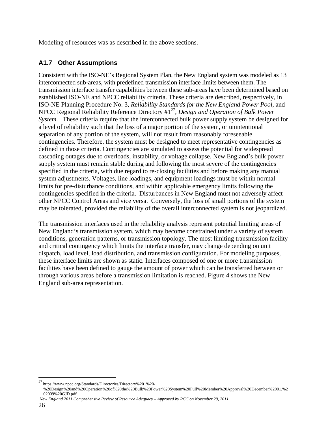Modeling of resources was as described in the above sections.

#### **A1.7 Other Assumptions**

Consistent with the ISO-NE's Regional System Plan, the New England system was modeled as 13 interconnected sub-areas, with predefined transmission interface limits between them. The transmission interface transfer capabilities between these sub-areas have been determined based on established ISO-NE and NPCC reliability criteria. These criteria are described, respectively, in ISO-NE Planning Procedure No. 3, *Reliability Standards for the New England Power Pool*, and NPCC Regional Reliability Reference Directory #127, *Design and Operation of Bulk Power System.* These criteria require that the interconnected bulk power supply system be designed for a level of reliability such that the loss of a major portion of the system, or unintentional separation of any portion of the system, will not result from reasonably foreseeable contingencies. Therefore, the system must be designed to meet representative contingencies as defined in those criteria. Contingencies are simulated to assess the potential for widespread cascading outages due to overloads, instability, or voltage collapse. New England's bulk power supply system must remain stable during and following the most severe of the contingencies specified in the criteria, with due regard to re-closing facilities and before making any manual system adjustments. Voltages, line loadings, and equipment loadings must be within normal limits for pre-disturbance conditions, and within applicable emergency limits following the contingencies specified in the criteria. Disturbances in New England must not adversely affect other NPCC Control Areas and vice versa. Conversely, the loss of small portions of the system may be tolerated, provided the reliability of the overall interconnected system is not jeopardized.

The transmission interfaces used in the reliability analysis represent potential limiting areas of New England's transmission system, which may become constrained under a variety of system conditions, generation patterns, or transmission topology. The most limiting transmission facility and critical contingency which limits the interface transfer, may change depending on unit dispatch, load level, load distribution, and transmission configuration. For modeling purposes, these interface limits are shown as static. Interfaces composed of one or more transmission facilities have been defined to gauge the amount of power which can be transferred between or through various areas before a transmission limitation is reached. Figure 4 shows the New England sub-area representation.

<sup>27</sup> https://www.npcc.org/Standards/Directories/Directory%201%20-

<sup>%20</sup>Design%20and%20Operation%20of%20the%20Bulk%20Power%20System%20Full%20Member%20Approval%20December%2001,%2 02009%20GJD.pdf

*New England 2011 Comprehensive Review of Resource Adequacy – Approved by RCC on November 29, 2011*  26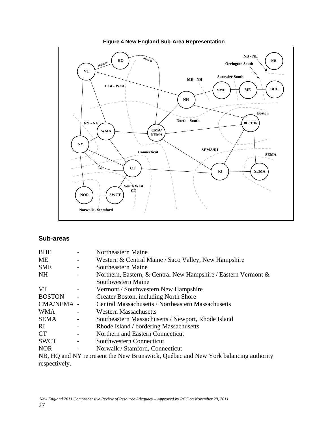

#### **Figure 4 New England Sub-Area Representation**

#### **Sub-areas**

| <b>BHE</b>    | Northeastern Maine                                                                  |
|---------------|-------------------------------------------------------------------------------------|
| МE            | Western & Central Maine / Saco Valley, New Hampshire                                |
| <b>SME</b>    | Southeastern Maine                                                                  |
| NH            | Northern, Eastern, & Central New Hampshire / Eastern Vermont $\&$                   |
|               | Southwestern Maine                                                                  |
| <b>VT</b>     | Vermont / Southwestern New Hampshire                                                |
| <b>BOSTON</b> | Greater Boston, including North Shore                                               |
| CMA/NEMA -    | <b>Central Massachusetts / Northeastern Massachusetts</b>                           |
| <b>WMA</b>    | <b>Western Massachusetts</b>                                                        |
| <b>SEMA</b>   | Southeastern Massachusetts / Newport, Rhode Island                                  |
| RI.           | Rhode Island / bordering Massachusetts                                              |
| <b>CT</b>     | Northern and Eastern Connecticut                                                    |
| <b>SWCT</b>   | Southwestern Connecticut                                                            |
| <b>NOR</b>    | Norwalk / Stamford, Connecticut                                                     |
|               | ND HO and NV nonnagent the New Duringwick Orcharge and New York holomoins anthonity |

NB, HQ and NY represent the New Brunswick, Québec and New York balancing authority respectively.